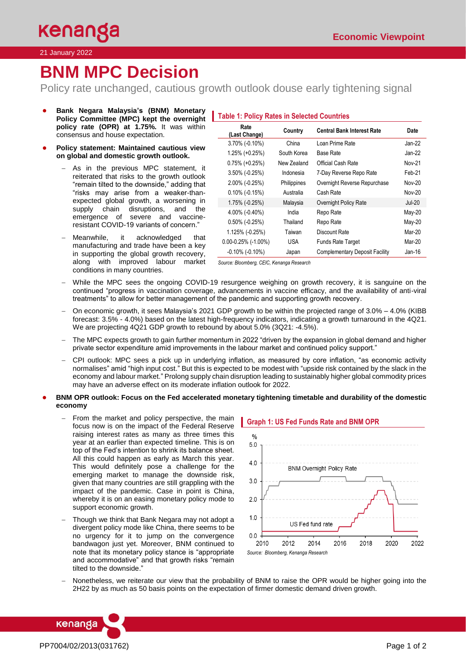#### 21 January 2022

# **BNM MPC Decision**

Policy rate unchanged, cautious growth outlook douse early tightening signal

- **Bank Negara Malaysia's (BNM) Monetary Policy Committee (MPC) kept the overnight policy rate (OPR) at 1.75%.** It was within consensus and house expectation.
- **Policy statement: Maintained cautious view on global and domestic growth outlook.**
	- As in the previous MPC statement, it reiterated that risks to the growth outlook "remain tilted to the downside," adding that "risks may arise from a weaker-thanexpected global growth, a worsening in supply chain disruptions, and the emergence of severe and vaccineresistant COVID-19 variants of concern."
	- − Meanwhile, it acknowledged that manufacturing and trade have been a key in supporting the global growth recovery, along with improved labour market conditions in many countries.

# **Table 1: Policy Rates in Selected Countries**

| Rate<br>(Last Change)    | Country     | <b>Central Bank Interest Rate</b>     | Date          |
|--------------------------|-------------|---------------------------------------|---------------|
| 3.70% (-0.10%)           | China       | Loan Prime Rate                       | $Jan-22$      |
| 1.25% (+0.25%)           | South Korea | <b>Base Rate</b>                      | Jan-22        |
| $0.75\%$ (+0.25%)        | New Zealand | Official Cash Rate                    | <b>Nov-21</b> |
| $3.50\%$ (-0.25%)        | Indonesia   | 7-Day Reverse Repo Rate               | Feb-21        |
| $2.00\%$ (-0.25%)        | Philippines | Overnight Reverse Repurchase          | <b>Nov-20</b> |
| $0.10\%$ (-0.15%)        | Australia   | Cash Rate                             | <b>Nov-20</b> |
| 1.75% (-0.25%)           | Malaysia    | Overnight Policy Rate                 | <b>Jul-20</b> |
| $4.00\%$ (-0.40%)        | India       | Repo Rate                             | May-20        |
| $0.50\%$ (-0.25%)        | Thailand    | Repo Rate                             | May-20        |
| 1.125% (-0.25%)          | Taiwan      | Discount Rate                         | Mar-20        |
| $0.00 - 0.25\%$ (-1.00%) | <b>USA</b>  | <b>Funds Rate Target</b>              | Mar-20        |
| $-0.10\%$ ( $-0.10\%$ )  | Japan       | <b>Complementary Deposit Facility</b> | $Jan-16$      |

*Source: Bloomberg, CEIC, Kenanga Research*

- While the MPC sees the ongoing COVID-19 resurgence weighing on growth recovery, it is sanguine on the continued "progress in vaccination coverage, advancements in vaccine efficacy, and the availability of anti-viral treatments" to allow for better management of the pandemic and supporting growth recovery.
- − On economic growth, it sees Malaysia's 2021 GDP growth to be within the projected range of 3.0% 4.0% (KIBB forecast: 3.5% - 4.0%) based on the latest high-frequency indicators, indicating a growth turnaround in the 4Q21. We are projecting 4Q21 GDP growth to rebound by about 5.0% (3Q21: -4.5%).
- The MPC expects growth to gain further momentum in 2022 "driven by the expansion in global demand and higher private sector expenditure amid improvements in the labour market and continued policy support."
- − CPI outlook: MPC sees a pick up in underlying inflation, as measured by core inflation, "as economic activity normalises" amid "high input cost." But this is expected to be modest with "upside risk contained by the slack in the economy and labour market." Prolong supply chain disruption leading to sustainably higher global commodity prices may have an adverse effect on its moderate inflation outlook for 2022.

## ● **BNM OPR outlook: Focus on the Fed accelerated monetary tightening timetable and durability of the domestic economy**

- From the market and policy perspective, the main focus now is on the impact of the Federal Reserve raising interest rates as many as three times this year at an earlier than expected timeline. This is on top of the Fed's intention to shrink its balance sheet. All this could happen as early as March this year. This would definitely pose a challenge for the emerging market to manage the downside risk, given that many countries are still grappling with the impact of the pandemic. Case in point is China, whereby it is on an easing monetary policy mode to support economic growth.
- Though we think that Bank Negara may not adopt a divergent policy mode like China, there seems to be no urgency for it to jump on the convergence bandwagon just yet. Moreover, BNM continued to note that its monetary policy stance is "appropriate and accommodative" and that growth risks "remain tilted to the downside."



Nonetheless, we reiterate our view that the probability of BNM to raise the OPR would be higher going into the 2H22 by as much as 50 basis points on the expectation of firmer domestic demand driven growth.